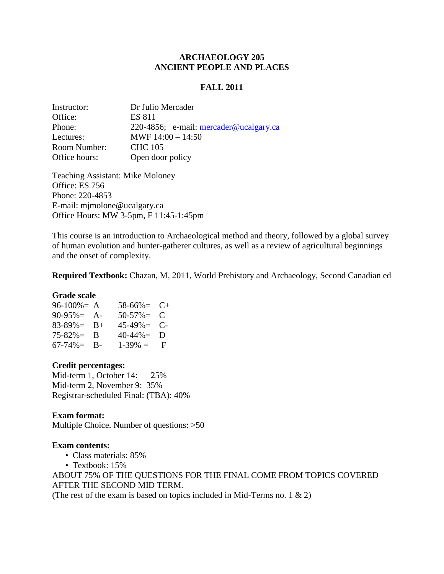#### **ARCHAEOLOGY 205 ANCIENT PEOPLE AND PLACES**

#### **FALL 2011**

| Instructor:   | Dr Julio Mercader                        |  |  |
|---------------|------------------------------------------|--|--|
| Office:       | <b>ES 811</b>                            |  |  |
| Phone:        | 220-4856; e-mail: $mercader@ucalgary.ca$ |  |  |
| Lectures:     | MWF $14:00 - 14:50$                      |  |  |
| Room Number:  | <b>CHC 105</b>                           |  |  |
| Office hours: | Open door policy                         |  |  |

Teaching Assistant: Mike Moloney Office: ES 756 Phone: 220-4853 E-mail: mjmolone@ucalgary.ca Office Hours: MW 3-5pm, F 11:45-1:45pm

This course is an introduction to Archaeological method and theory, followed by a global survey of human evolution and hunter-gatherer cultures, as well as a review of agricultural beginnings and the onset of complexity.

**Required Textbook:** Chazan, M, 2011, World Prehistory and Archaeology, Second Canadian ed

#### **Grade scale**

| $96-100\% = A$       | $58-66\% = C+$     |  |
|----------------------|--------------------|--|
| $90-95\% = A$ -      | $50-57\% = C$      |  |
| $83 - 89\% = B +$    | $45-49\% = C$      |  |
| $75-82\% = \text{B}$ | $40-44\% = D$      |  |
| $67 - 74\% =$ B-     | $1-39\% = \square$ |  |

#### **Credit percentages:**

Mid-term 1, October 14: 25% Mid-term 2, November 9: 35% Registrar-scheduled Final: (TBA): 40%

#### **Exam format:**

Multiple Choice. Number of questions: >50

#### **Exam contents:**

- Class materials: 85%
- Textbook: 15%

ABOUT 75% OF THE QUESTIONS FOR THE FINAL COME FROM TOPICS COVERED AFTER THE SECOND MID TERM.

(The rest of the exam is based on topics included in Mid-Terms no. 1  $\&$  2)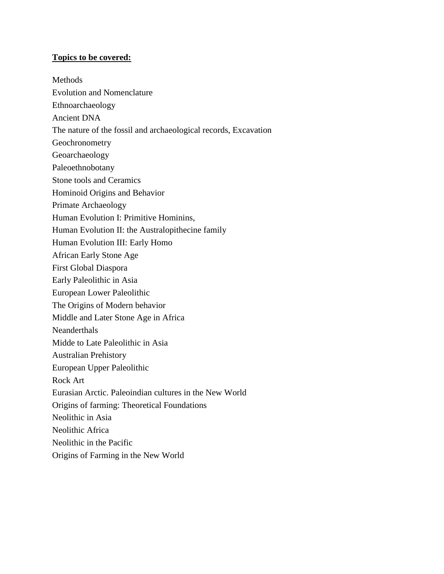### **Topics to be covered:**

Methods Evolution and Nomenclature Ethnoarchaeology Ancient DNA The nature of the fossil and archaeological records, Excavation Geochronometry Geoarchaeology Paleoethnobotany Stone tools and Ceramics Hominoid Origins and Behavior Primate Archaeology Human Evolution I: Primitive Hominins, Human Evolution II: the Australopithecine family Human Evolution III: Early Homo African Early Stone Age First Global Diaspora Early Paleolithic in Asia European Lower Paleolithic The Origins of Modern behavior Middle and Later Stone Age in Africa Neanderthals Midde to Late Paleolithic in Asia Australian Prehistory European Upper Paleolithic Rock Art Eurasian Arctic. Paleoindian cultures in the New World Origins of farming: Theoretical Foundations Neolithic in Asia Neolithic Africa Neolithic in the Pacific Origins of Farming in the New World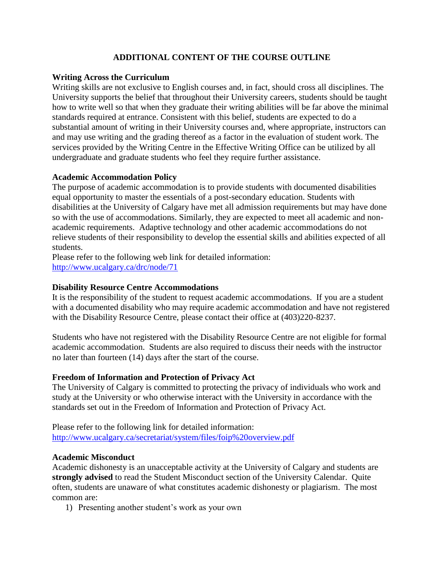## **ADDITIONAL CONTENT OF THE COURSE OUTLINE**

### **Writing Across the Curriculum**

Writing skills are not exclusive to English courses and, in fact, should cross all disciplines. The University supports the belief that throughout their University careers, students should be taught how to write well so that when they graduate their writing abilities will be far above the minimal standards required at entrance. Consistent with this belief, students are expected to do a substantial amount of writing in their University courses and, where appropriate, instructors can and may use writing and the grading thereof as a factor in the evaluation of student work. The services provided by the Writing Centre in the Effective Writing Office can be utilized by all undergraduate and graduate students who feel they require further assistance.

### **Academic Accommodation Policy**

The purpose of academic accommodation is to provide students with documented disabilities equal opportunity to master the essentials of a post-secondary education. Students with disabilities at the University of Calgary have met all admission requirements but may have done so with the use of accommodations. Similarly, they are expected to meet all academic and nonacademic requirements. Adaptive technology and other academic accommodations do not relieve students of their responsibility to develop the essential skills and abilities expected of all students.

Please refer to the following web link for detailed information: <http://www.ucalgary.ca/drc/node/71>

### **Disability Resource Centre Accommodations**

It is the responsibility of the student to request academic accommodations. If you are a student with a documented disability who may require academic accommodation and have not registered with the Disability Resource Centre, please contact their office at  $(403)220-8237$ .

Students who have not registered with the Disability Resource Centre are not eligible for formal academic accommodation. Students are also required to discuss their needs with the instructor no later than fourteen (14) days after the start of the course.

#### **Freedom of Information and Protection of Privacy Act**

The University of Calgary is committed to protecting the privacy of individuals who work and study at the University or who otherwise interact with the University in accordance with the standards set out in the Freedom of Information and Protection of Privacy Act.

Please refer to the following link for detailed information: <http://www.ucalgary.ca/secretariat/system/files/foip%20overview.pdf>

#### **Academic Misconduct**

Academic dishonesty is an unacceptable activity at the University of Calgary and students are **strongly advised** to read the Student Misconduct section of the University Calendar. Quite often, students are unaware of what constitutes academic dishonesty or plagiarism. The most common are:

1) Presenting another student's work as your own